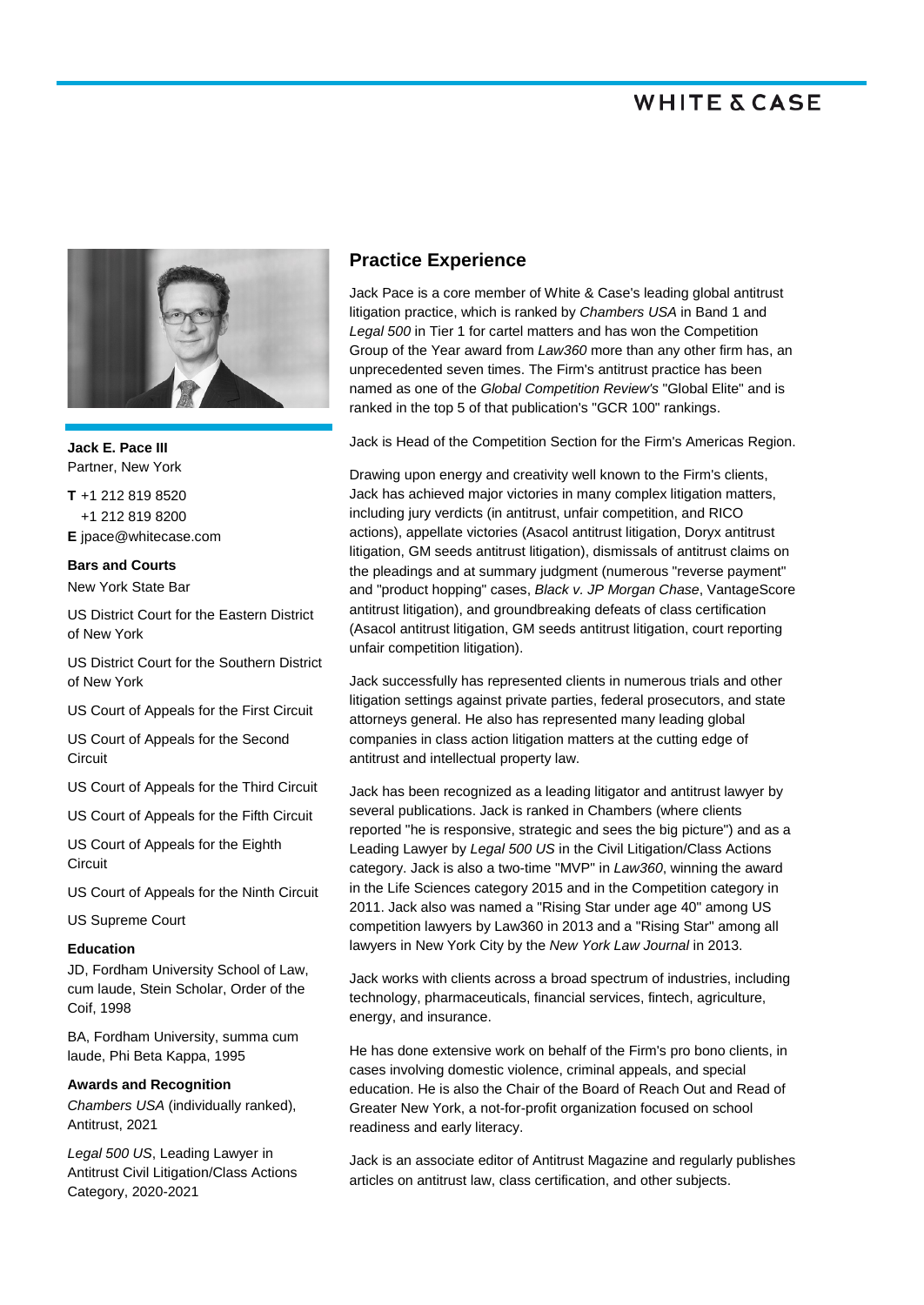

**Jack E. Pace III** Partner, New York

**T** +1 212 819 8520 +1 212 819 8200 **E** jpace@whitecase.com

### **Bars and Courts** New York State Bar

US District Court for the Eastern District of New York

US District Court for the Southern District of New York

US Court of Appeals for the First Circuit

US Court of Appeals for the Second Circuit

US Court of Appeals for the Third Circuit

US Court of Appeals for the Fifth Circuit

US Court of Appeals for the Eighth **Circuit** 

US Court of Appeals for the Ninth Circuit

US Supreme Court

### **Education**

JD, Fordham University School of Law, cum laude, Stein Scholar, Order of the Coif, 1998

BA, Fordham University, summa cum laude, Phi Beta Kappa, 1995

#### **Awards and Recognition**

*Chambers USA* (individually ranked), Antitrust, 2021

*Legal 500 US*, Leading Lawyer in Antitrust Civil Litigation/Class Actions Category, 2020-2021

## **Practice Experience**

Jack Pace is a core member of White & Case's leading global antitrust litigation practice, which is ranked by *Chambers USA* in Band 1 and *Legal 500* in Tier 1 for cartel matters and has won the Competition Group of the Year award from *Law360* more than any other firm has, an unprecedented seven times. The Firm's antitrust practice has been named as one of the *Global Competition Review's* "Global Elite" and is ranked in the top 5 of that publication's "GCR 100" rankings.

Jack is Head of the Competition Section for the Firm's Americas Region.

Drawing upon energy and creativity well known to the Firm's clients, Jack has achieved major victories in many complex litigation matters, including jury verdicts (in antitrust, unfair competition, and RICO actions), appellate victories (Asacol antitrust litigation, Doryx antitrust litigation, GM seeds antitrust litigation), dismissals of antitrust claims on the pleadings and at summary judgment (numerous "reverse payment" and "product hopping" cases, *Black v. JP Morgan Chase*, VantageScore antitrust litigation), and groundbreaking defeats of class certification (Asacol antitrust litigation, GM seeds antitrust litigation, court reporting unfair competition litigation).

Jack successfully has represented clients in numerous trials and other litigation settings against private parties, federal prosecutors, and state attorneys general. He also has represented many leading global companies in class action litigation matters at the cutting edge of antitrust and intellectual property law.

Jack has been recognized as a leading litigator and antitrust lawyer by several publications. Jack is ranked in Chambers (where clients reported "he is responsive, strategic and sees the big picture") and as a Leading Lawyer by *Legal 500 US* in the Civil Litigation/Class Actions category. Jack is also a two-time "MVP" in *Law360*, winning the award in the Life Sciences category 2015 and in the Competition category in 2011. Jack also was named a "Rising Star under age 40" among US competition lawyers by Law360 in 2013 and a "Rising Star" among all lawyers in New York City by the *New York Law Journal* in 2013.

Jack works with clients across a broad spectrum of industries, including technology, pharmaceuticals, financial services, fintech, agriculture, energy, and insurance.

He has done extensive work on behalf of the Firm's pro bono clients, in cases involving domestic violence, criminal appeals, and special education. He is also the Chair of the Board of Reach Out and Read of Greater New York, a not-for-profit organization focused on school readiness and early literacy.

Jack is an associate editor of Antitrust Magazine and regularly publishes articles on antitrust law, class certification, and other subjects.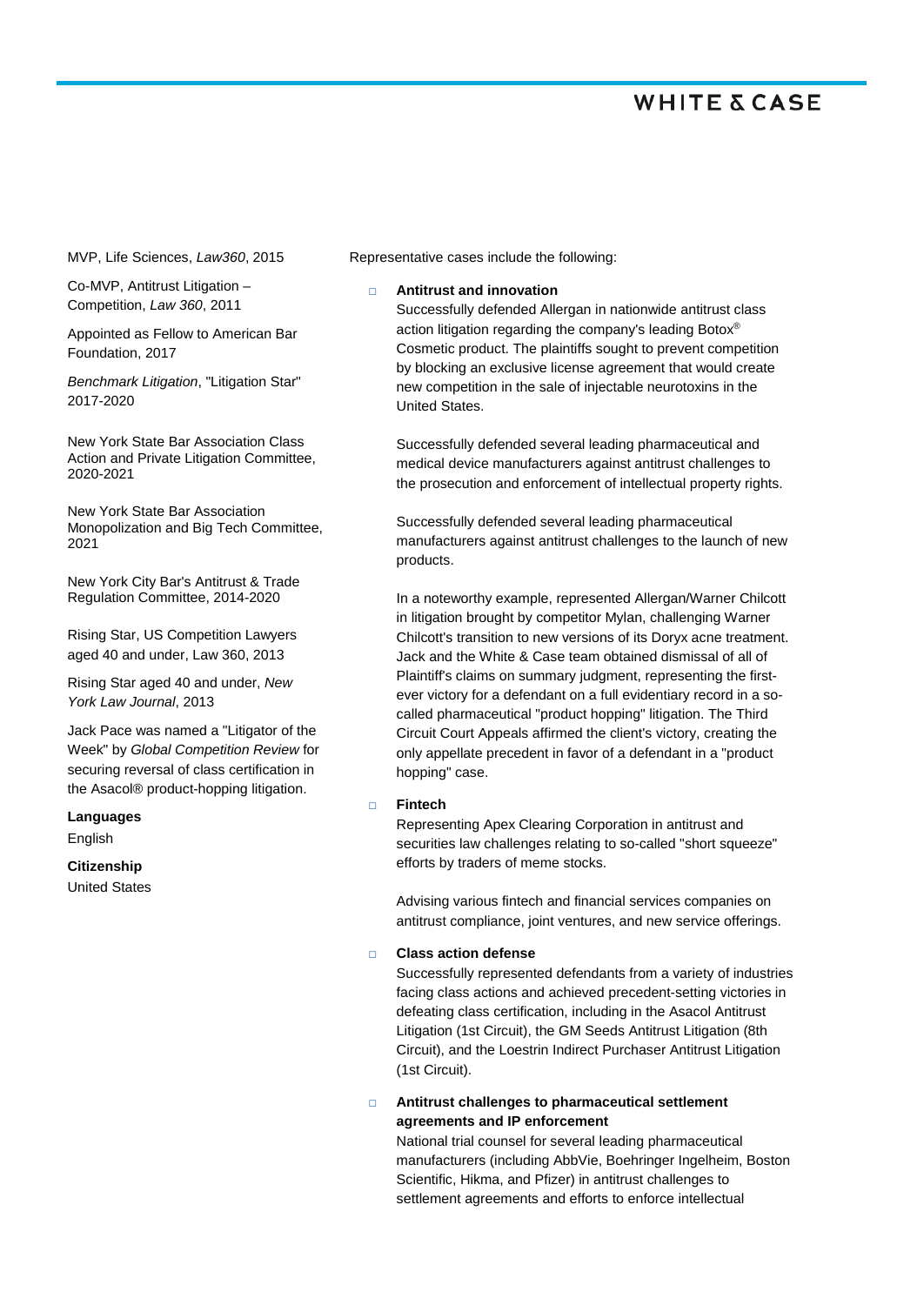MVP, Life Sciences, *Law360*, 2015

Co-MVP, Antitrust Litigation – Competition, *Law 360*, 2011

Appointed as Fellow to American Bar Foundation, 2017

*Benchmark Litigation*, "Litigation Star" 2017-2020

New York State Bar Association Class Action and Private Litigation Committee, 2020-2021

New York State Bar Association Monopolization and Big Tech Committee, 2021

New York City Bar's Antitrust & Trade Regulation Committee, 2014-2020

Rising Star, US Competition Lawyers aged 40 and under, Law 360, 2013

Rising Star aged 40 and under, *New York Law Journal*, 2013

Jack Pace was named a "Litigator of the Week" by *Global Competition Review* for securing reversal of class certification in the Asacol® product-hopping litigation.

**Languages** English

**Citizenship**

United States

Representative cases include the following:

#### **Antitrust and innovation**

Successfully defended Allergan in nationwide antitrust class action litigation regarding the company's leading Botox® Cosmetic product. The plaintiffs sought to prevent competition by blocking an exclusive license agreement that would create new competition in the sale of injectable neurotoxins in the United States.

Successfully defended several leading pharmaceutical and medical device manufacturers against antitrust challenges to the prosecution and enforcement of intellectual property rights.

Successfully defended several leading pharmaceutical manufacturers against antitrust challenges to the launch of new products.

In a noteworthy example, represented Allergan/Warner Chilcott in litigation brought by competitor Mylan, challenging Warner Chilcott's transition to new versions of its Doryx acne treatment. Jack and the White & Case team obtained dismissal of all of Plaintiff's claims on summary judgment, representing the firstever victory for a defendant on a full evidentiary record in a socalled pharmaceutical "product hopping" litigation. The Third Circuit Court Appeals affirmed the client's victory, creating the only appellate precedent in favor of a defendant in a "product hopping" case.

### **Fintech**

Representing Apex Clearing Corporation in antitrust and securities law challenges relating to so-called "short squeeze" efforts by traders of meme stocks.

Advising various fintech and financial services companies on antitrust compliance, joint ventures, and new service offerings.

#### **Class action defense**

Successfully represented defendants from a variety of industries facing class actions and achieved precedent-setting victories in defeating class certification, including in the Asacol Antitrust Litigation (1st Circuit), the GM Seeds Antitrust Litigation (8th Circuit), and the Loestrin Indirect Purchaser Antitrust Litigation (1st Circuit).

 **Antitrust challenges to pharmaceutical settlement agreements and IP enforcement** 

National trial counsel for several leading pharmaceutical manufacturers (including AbbVie, Boehringer Ingelheim, Boston Scientific, Hikma, and Pfizer) in antitrust challenges to settlement agreements and efforts to enforce intellectual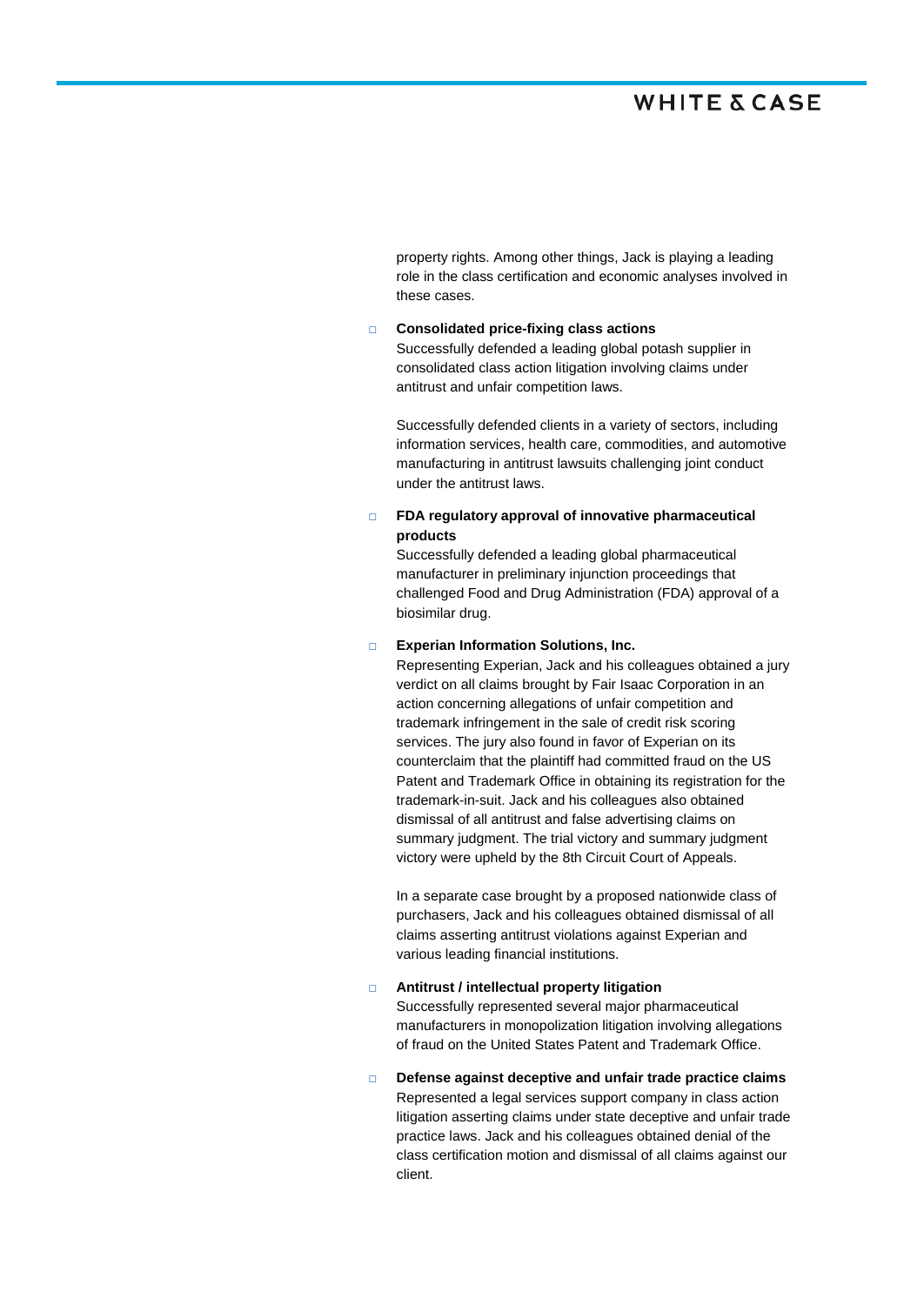property rights. Among other things, Jack is playing a leading role in the class certification and economic analyses involved in these cases.

### **Consolidated price-fixing class actions**

Successfully defended a leading global potash supplier in consolidated class action litigation involving claims under antitrust and unfair competition laws.

Successfully defended clients in a variety of sectors, including information services, health care, commodities, and automotive manufacturing in antitrust lawsuits challenging joint conduct under the antitrust laws.

### **FDA regulatory approval of innovative pharmaceutical products**

Successfully defended a leading global pharmaceutical manufacturer in preliminary injunction proceedings that challenged Food and Drug Administration (FDA) approval of a biosimilar drug.

#### **Experian Information Solutions, Inc.**

Representing Experian, Jack and his colleagues obtained a jury verdict on all claims brought by Fair Isaac Corporation in an action concerning allegations of unfair competition and trademark infringement in the sale of credit risk scoring services. The jury also found in favor of Experian on its counterclaim that the plaintiff had committed fraud on the US Patent and Trademark Office in obtaining its registration for the trademark-in-suit. Jack and his colleagues also obtained dismissal of all antitrust and false advertising claims on summary judgment. The trial victory and summary judgment victory were upheld by the 8th Circuit Court of Appeals.

In a separate case brought by a proposed nationwide class of purchasers, Jack and his colleagues obtained dismissal of all claims asserting antitrust violations against Experian and various leading financial institutions.

 **Antitrust / intellectual property litigation**  Successfully represented several major pharmaceutical manufacturers in monopolization litigation involving allegations of fraud on the United States Patent and Trademark Office.

 **Defense against deceptive and unfair trade practice claims** Represented a legal services support company in class action litigation asserting claims under state deceptive and unfair trade practice laws. Jack and his colleagues obtained denial of the class certification motion and dismissal of all claims against our client.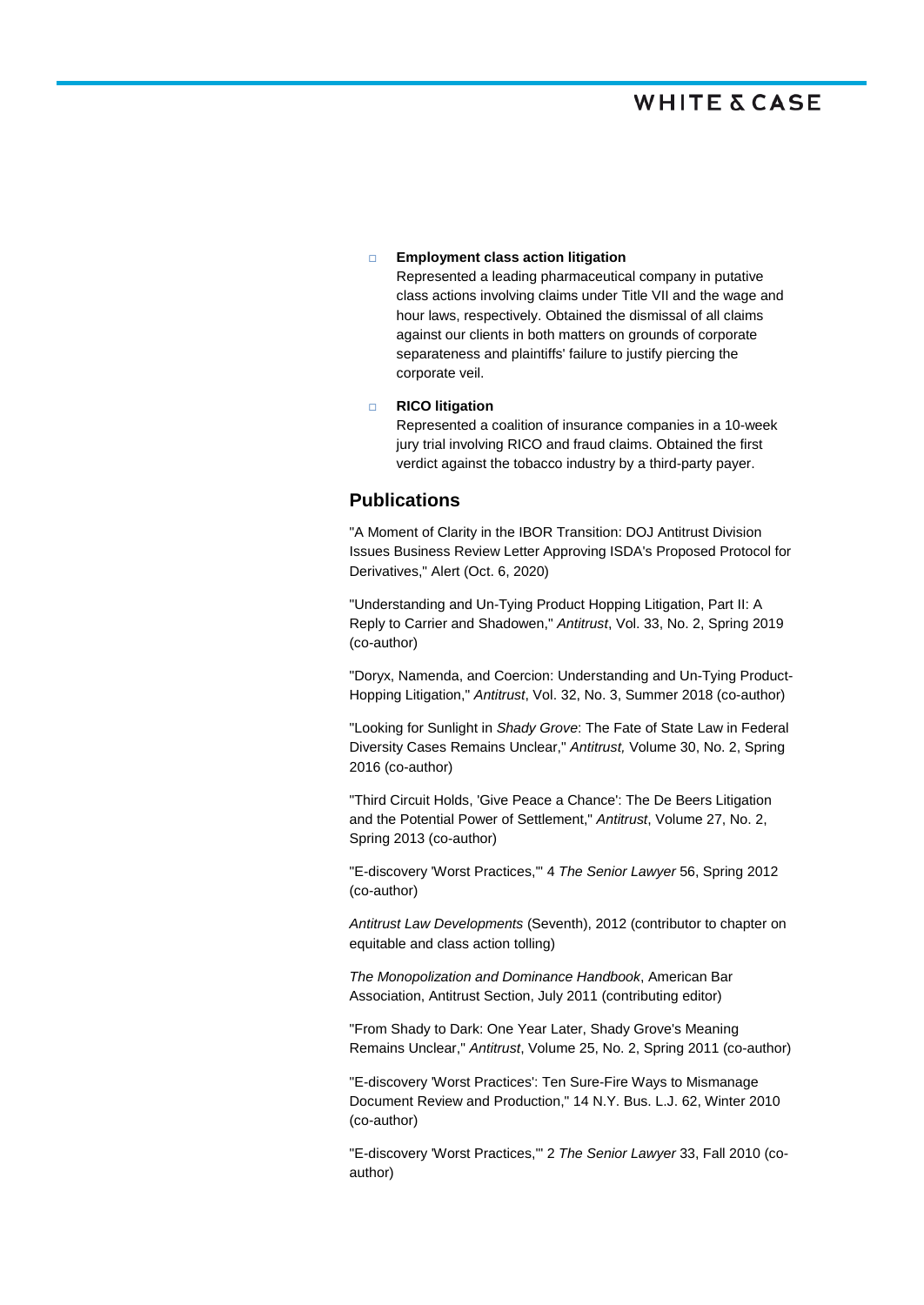#### **Employment class action litigation**

Represented a leading pharmaceutical company in putative class actions involving claims under Title VII and the wage and hour laws, respectively. Obtained the dismissal of all claims against our clients in both matters on grounds of corporate separateness and plaintiffs' failure to justify piercing the corporate veil.

### **RICO litigation**

Represented a coalition of insurance companies in a 10-week jury trial involving RICO and fraud claims. Obtained the first verdict against the tobacco industry by a third-party payer.

## **Publications**

"A Moment of Clarity in the IBOR Transition: DOJ Antitrust Division Issues Business Review Letter Approving ISDA's Proposed Protocol for Derivatives," Alert (Oct. 6, 2020)

"Understanding and Un-Tying Product Hopping Litigation, Part II: A Reply to Carrier and Shadowen," *Antitrust*, Vol. 33, No. 2, Spring 2019 (co-author)

"Doryx, Namenda, and Coercion: Understanding and Un-Tying Product-Hopping Litigation," *Antitrust*, Vol. 32, No. 3, Summer 2018 (co-author)

"Looking for Sunlight in *Shady Grove*: The Fate of State Law in Federal Diversity Cases Remains Unclear," *Antitrust,* Volume 30, No. 2, Spring 2016 (co-author)

"Third Circuit Holds, 'Give Peace a Chance': The De Beers Litigation and the Potential Power of Settlement," *Antitrust*, Volume 27, No. 2, Spring 2013 (co-author)

"E-discovery 'Worst Practices,'" 4 *The Senior Lawyer* 56, Spring 2012 (co-author)

*Antitrust Law Developments* (Seventh), 2012 (contributor to chapter on equitable and class action tolling)

*The Monopolization and Dominance Handbook*, American Bar Association, Antitrust Section, July 2011 (contributing editor)

"From Shady to Dark: One Year Later, Shady Grove's Meaning Remains Unclear," *Antitrust*, Volume 25, No. 2, Spring 2011 (co-author)

"E-discovery 'Worst Practices': Ten Sure-Fire Ways to Mismanage Document Review and Production," 14 N.Y. Bus. L.J. 62, Winter 2010 (co-author)

"E-discovery 'Worst Practices,'" 2 *The Senior Lawyer* 33, Fall 2010 (coauthor)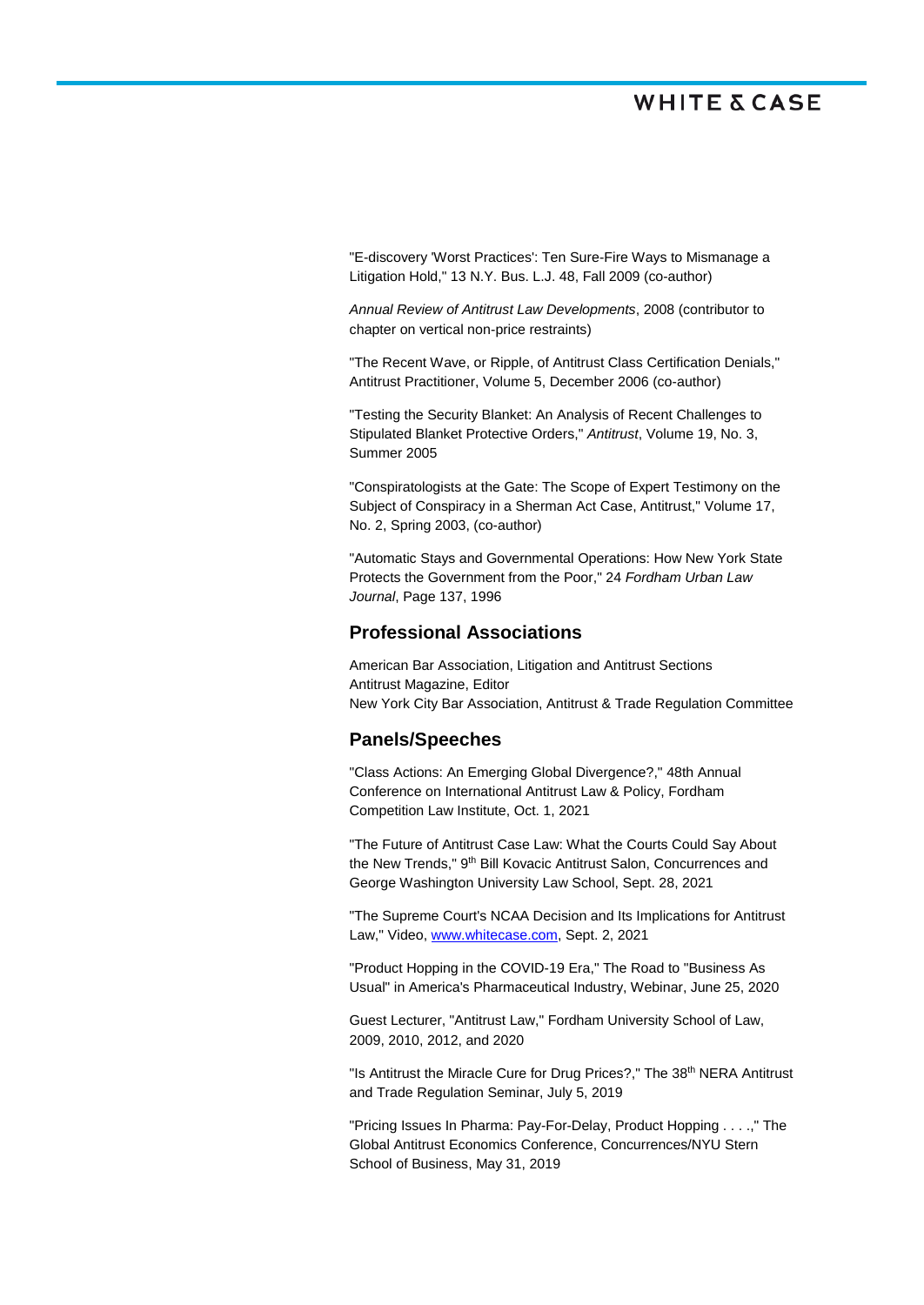"E-discovery 'Worst Practices': Ten Sure-Fire Ways to Mismanage a Litigation Hold," 13 N.Y. Bus. L.J. 48, Fall 2009 (co-author)

*Annual Review of Antitrust Law Developments*, 2008 (contributor to chapter on vertical non-price restraints)

"The Recent Wave, or Ripple, of Antitrust Class Certification Denials," Antitrust Practitioner, Volume 5, December 2006 (co-author)

"Testing the Security Blanket: An Analysis of Recent Challenges to Stipulated Blanket Protective Orders," *Antitrust*, Volume 19, No. 3, Summer 2005

"Conspiratologists at the Gate: The Scope of Expert Testimony on the Subject of Conspiracy in a Sherman Act Case, Antitrust," Volume 17, No. 2, Spring 2003, (co-author)

"Automatic Stays and Governmental Operations: How New York State Protects the Government from the Poor," 24 *Fordham Urban Law Journal*, Page 137, 1996

### **Professional Associations**

American Bar Association, Litigation and Antitrust Sections Antitrust Magazine, Editor New York City Bar Association, Antitrust & Trade Regulation Committee

### **Panels/Speeches**

"Class Actions: An Emerging Global Divergence?," 48th Annual Conference on International Antitrust Law & Policy, Fordham Competition Law Institute, Oct. 1, 2021

"The Future of Antitrust Case Law: What the Courts Could Say About the New Trends," 9<sup>th</sup> Bill Kovacic Antitrust Salon, Concurrences and George Washington University Law School, Sept. 28, 2021

"The Supreme Court's NCAA Decision and Its Implications for Antitrust Law," Video, [www.whitecase.com,](http://www.whitecase.com/) Sept. 2, 2021

"Product Hopping in the COVID-19 Era," The Road to "Business As Usual" in America's Pharmaceutical Industry, Webinar, June 25, 2020

Guest Lecturer, "Antitrust Law," Fordham University School of Law, 2009, 2010, 2012, and 2020

"Is Antitrust the Miracle Cure for Drug Prices?," The 38<sup>th</sup> NERA Antitrust and Trade Regulation Seminar, July 5, 2019

"Pricing Issues In Pharma: Pay-For-Delay, Product Hopping . . . .," The Global Antitrust Economics Conference, Concurrences/NYU Stern School of Business, May 31, 2019